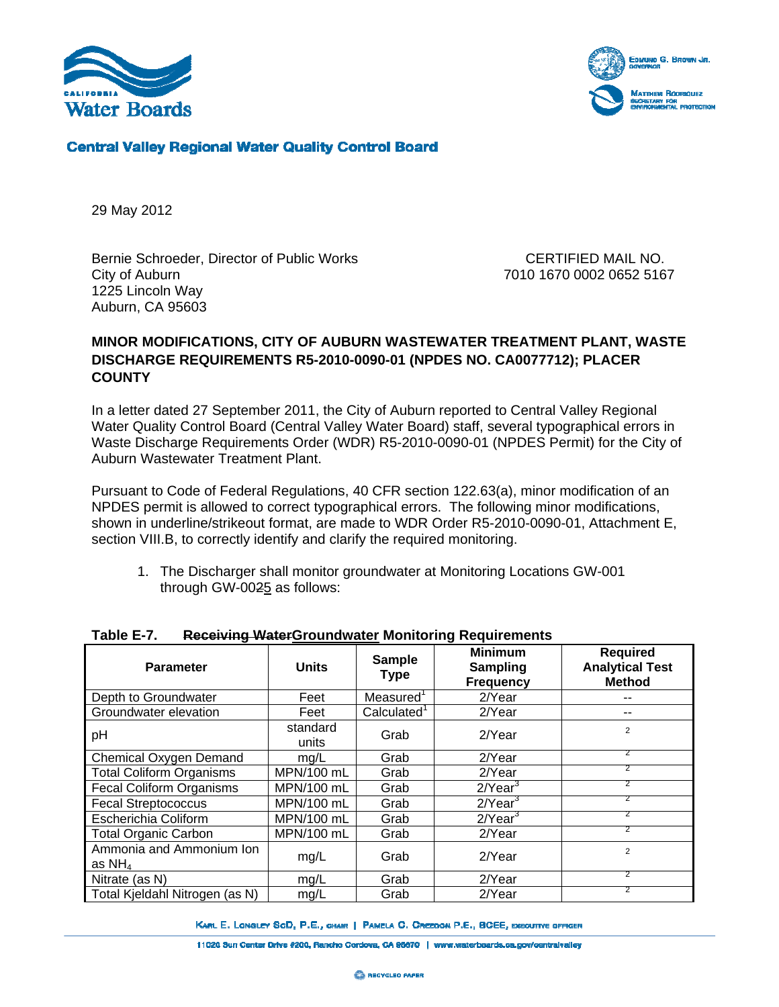



## **Central Valley Regional Water Quality Control Board**

29 May 2012

Bernie Schroeder, Director of Public Works CERTIFIED MAIL NO. City of Auburn 7010 1670 0002 0652 5167 1225 Lincoln Way Auburn, CA 95603

## **MINOR MODIFICATIONS, CITY OF AUBURN WASTEWATER TREATMENT PLANT, WASTE DISCHARGE REQUIREMENTS R5-2010-0090-01 (NPDES NO. CA0077712); PLACER COUNTY**

In a letter dated 27 September 2011, the City of Auburn reported to Central Valley Regional Water Quality Control Board (Central Valley Water Board) staff, several typographical errors in Waste Discharge Requirements Order (WDR) R5-2010-0090-01 (NPDES Permit) for the City of Auburn Wastewater Treatment Plant.

Pursuant to Code of Federal Regulations, 40 CFR section 122.63(a), minor modification of an NPDES permit is allowed to correct typographical errors. The following minor modifications, shown in underline/strikeout format, are made to WDR Order R5-2010-0090-01, Attachment E, section VIII.B, to correctly identify and clarify the required monitoring.

1. The Discharger shall monitor groundwater at Monitoring Locations GW-001 through GW-0025 as follows:

| <b>Parameter</b>                     | <b>Units</b>      | <b>Sample</b><br><b>Type</b> | <b>Minimum</b><br>Sampling<br><b>Frequency</b> | <b>Required</b><br><b>Analytical Test</b><br><b>Method</b> |  |  |
|--------------------------------------|-------------------|------------------------------|------------------------------------------------|------------------------------------------------------------|--|--|
| Depth to Groundwater                 | Feet              | Measured                     | 2/Year                                         |                                                            |  |  |
| Groundwater elevation                | Feet              | Calculated <sup>1</sup>      | 2/Year                                         | --                                                         |  |  |
| рH                                   | standard<br>units | Grab                         | $2$ Year                                       | $\overline{2}$                                             |  |  |
| Chemical Oxygen Demand               | mg/L              | Grab                         | 2/Year                                         | 2.                                                         |  |  |
| <b>Total Coliform Organisms</b>      | MPN/100 mL        | Grab                         | 2/Year                                         |                                                            |  |  |
| <b>Fecal Coliform Organisms</b>      | MPN/100 mL        | Grab                         | $2$ /Year $3$                                  |                                                            |  |  |
| <b>Fecal Streptococcus</b>           | MPN/100 mL        | Grab                         | $2$ /Year <sup>3</sup>                         |                                                            |  |  |
| Escherichia Coliform                 | MPN/100 mL        | Grab                         | $2$ /Year $3$                                  |                                                            |  |  |
| <b>Total Organic Carbon</b>          | MPN/100 mL        | Grab                         | 2/Year                                         |                                                            |  |  |
| Ammonia and Ammonium Ion<br>as $NH4$ | mg/L              | Grab                         | 2/Year                                         | $\overline{2}$                                             |  |  |
| Nitrate (as N)                       | mg/L              | Grab                         | 2/Year                                         |                                                            |  |  |
| Total Kjeldahl Nitrogen (as N)       | mg/L              | Grab                         | 2/Year                                         |                                                            |  |  |

## **Table E-7. Receiving WaterGroundwater Monitoring Requirements**

KARL E. LONGLEY SCD, P.E., CHAIR | PAMELA G. GREEDON P.E., BCEE, EXECUTIVE OFFICER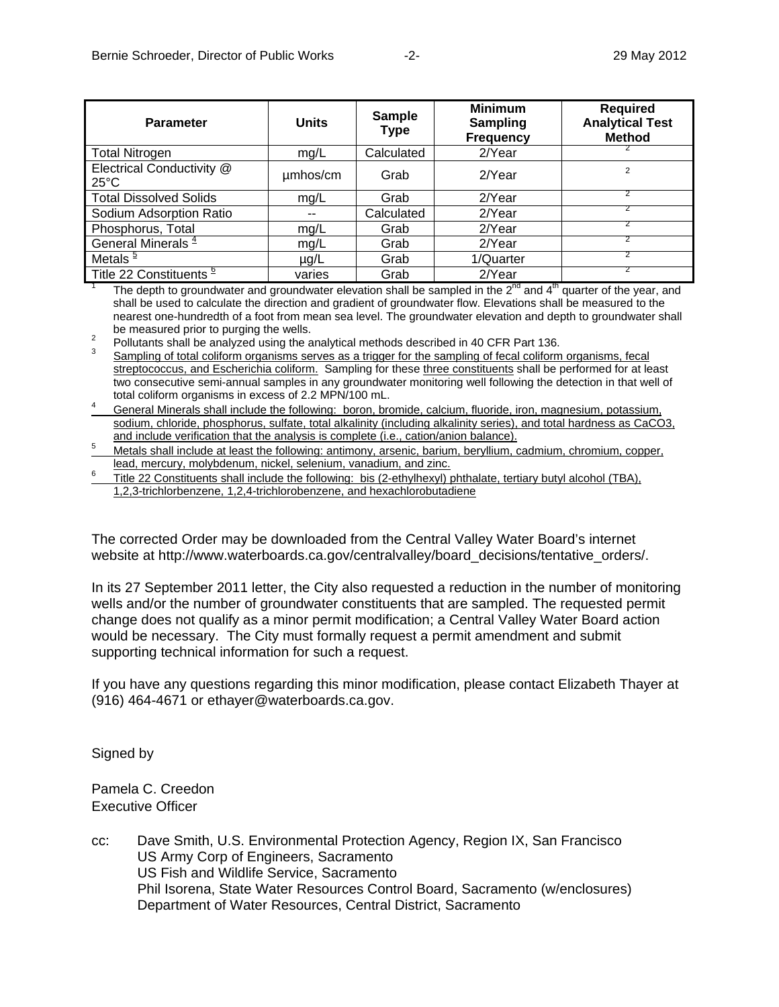| <b>Parameter</b>                            | <b>Units</b> | <b>Sample</b><br><b>Type</b> | <b>Minimum</b><br>Sampling<br><b>Frequency</b> | <b>Required</b><br><b>Analytical Test</b><br><b>Method</b> |
|---------------------------------------------|--------------|------------------------------|------------------------------------------------|------------------------------------------------------------|
| <b>Total Nitrogen</b>                       | mg/L         | Calculated                   | $2$ Year                                       |                                                            |
| Electrical Conductivity @<br>$25^{\circ}$ C | umhos/cm     | Grab                         | $2$ Year                                       | $\overline{2}$                                             |
| <b>Total Dissolved Solids</b>               | mg/L         | Grab                         | 2/Year                                         |                                                            |
| Sodium Adsorption Ratio                     |              | Calculated                   | $2$ Year                                       |                                                            |
| Phosphorus, Total                           | mg/L         | Grab                         | 2/Year                                         |                                                            |
| General Minerals <sup>4</sup>               | mg/L         | Grab                         | 2/Year                                         |                                                            |
| Metals <sup>5</sup>                         | $\mu$ g/L    | Grab                         | 1/Quarter                                      |                                                            |
| Title 22 Constituents <sup>e</sup>          | varies       | Grab                         | 2/Year                                         |                                                            |

<sup>1</sup> The depth to groundwater and groundwater elevation shall be sampled in the 2<sup>nd</sup> and 4<sup>th</sup> quarter of the year, and shall be used to calculate the direction and gradient of groundwater flow. Elevations shall be measured to the nearest one-hundredth of a foot from mean sea level. The groundwater elevation and depth to groundwater shall

be measured prior to purging the wells.<br><sup>2</sup> Pollutants shall be analyzed using the analytical methods described in 40 CFR Part 136.

 Sampling of total coliform organisms serves as a trigger for the sampling of fecal coliform organisms, fecal streptococcus, and Escherichia coliform. Sampling for these three constituents shall be performed for at least two consecutive semi-annual samples in any groundwater monitoring well following the detection in that well of total coliform organisms in excess of 2.2 MPN/100 mL. 4

 General Minerals shall include the following: boron, bromide, calcium, fluoride, iron, magnesium, potassium, sodium, chloride, phosphorus, sulfate, total alkalinity (including alkalinity series), and total hardness as CaCO3, and include verification that the analysis is complete (i.e., cation/anion balance).

<sup>5</sup> Metals shall include at least the following: antimony, arsenic, barium, beryllium, cadmium, chromium, copper, lead, mercury, molybdenum, nickel, selenium, vanadium, and zinc. 6

 Title 22 Constituents shall include the following: bis (2-ethylhexyl) phthalate, tertiary butyl alcohol (TBA), 1,2,3-trichlorbenzene, 1,2,4-trichlorobenzene, and hexachlorobutadiene

The corrected Order may be downloaded from the Central Valley Water Board's internet website at http://www.waterboards.ca.gov/centralvalley/board\_decisions/tentative\_orders/.

In its 27 September 2011 letter, the City also requested a reduction in the number of monitoring wells and/or the number of groundwater constituents that are sampled. The requested permit change does not qualify as a minor permit modification; a Central Valley Water Board action would be necessary. The City must formally request a permit amendment and submit supporting technical information for such a request.

If you have any questions regarding this minor modification, please contact Elizabeth Thayer at (916) 464-4671 or ethayer@waterboards.ca.gov.

Signed by

Pamela C. Creedon Executive Officer

cc: Dave Smith, U.S. Environmental Protection Agency, Region IX, San Francisco US Army Corp of Engineers, Sacramento US Fish and Wildlife Service, Sacramento Phil Isorena, State Water Resources Control Board, Sacramento (w/enclosures) Department of Water Resources, Central District, Sacramento